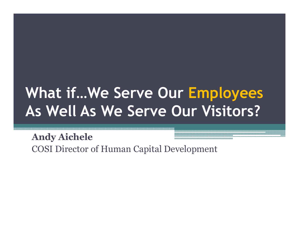### What if…We Serve Our EmployeesAs Well As We Serve Our Visitors?

Andy AicheleCOSI Director of Human Capital Development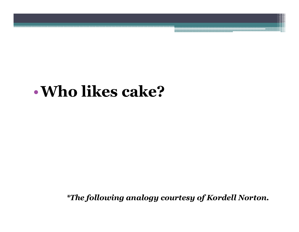### •Who likes cake?

\*The following analogy courtesy of Kordell Norton.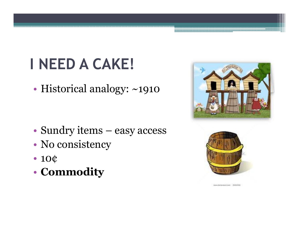•Historical analogy: ~1910

- •• Sundry items – easy access
- •No consistency
- 10¢
- •Commodity





pain share much jump ... (1931) [4]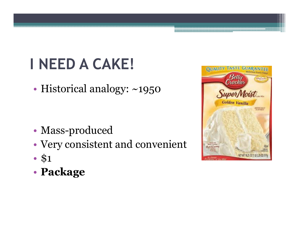•Historical analogy: ~1950

- •• Mass-produced
- •Very consistent and convenient
- •• \$1
- •Package

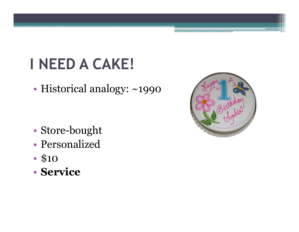•Historical analogy: ~1990

- •Store-bought
- •Personalized
- •• \$10
- Se Service

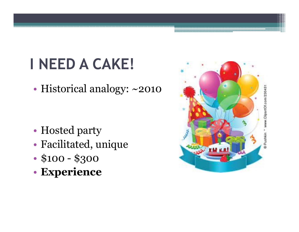•Historical analogy: ~2010

- •• Hosted party
- •Facilitated, unique
- •• \$100 - \$300
- •Experience

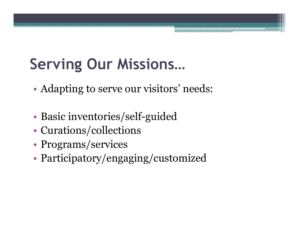# Serving Our Missions…

- •Adapting to serve our visitors' needs:
- •Basic inventories/self-guided
- •Curations/collections
- •• Programs/services
- •Participatory/engaging/customized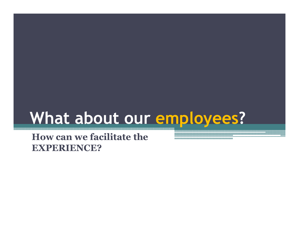# What about our employees?

How can we facilitate the EXPERIENCE?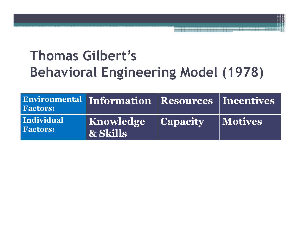### Thomas Gilbert's Behavioral Engineering Model (1978)

| <b>Factors:</b>               | Environmental Information Resources Incentives |                |
|-------------------------------|------------------------------------------------|----------------|
| Individual<br><b>Factors:</b> | <b>Knowledge Capacity</b><br>$\vert$ & Skills  | <b>Motives</b> |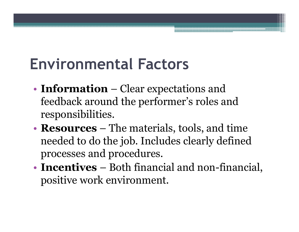# Environmental Factors

- •• **Information** – Clear expectations and<br>**Example 2** feedback around the performer's roles and feedback around the performer's roles and responsibilities.
- **Resources** The materials, tools, and time needed to do the job Includes clearly defined needed to do the job. Includes clearly defined processes and procedures.
- •• **Incentives** – Both financial and non-financial, nositive work environment positive work environment.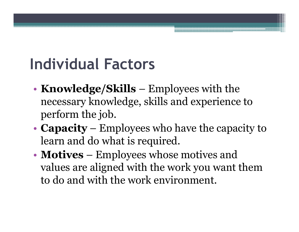# Individual Factors

- •• Knowledge/Skills – Employees with the necessary knowledge skills and experience necessary knowledge, skills and experience to perform the job.
- •• **Capacity** – Employees who have the capacity to learn and do what is required learn and do what is required.
- •• **Motives** – Employees whose motives and values are aligned with the work you want i values are aligned with the work you want them to do and with the work environment.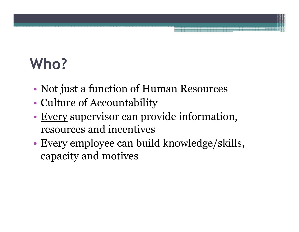# Who?

- •Not just a function of Human Resources
- •Culture of Accountability
- •• Every supervisor can provide information,<br>resources and incentives resources and incentives
- •Every employee can build knowledge/skills,<br>
canacity and motives capacity and motives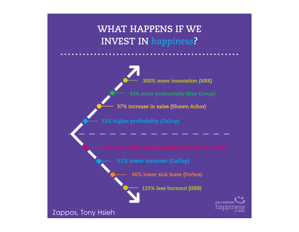

300% more innovation (HBR) 43% more productivity (Hay Group)

37% increase in sales (Shawn Achor)

33% higher profitability (Gallup)

51% lower turnover (Gallup)

66% lower sick leave (Forbes)

125% less burnout (HBR)

**DELIVERIN** 

Zappos, Tony Hsieh